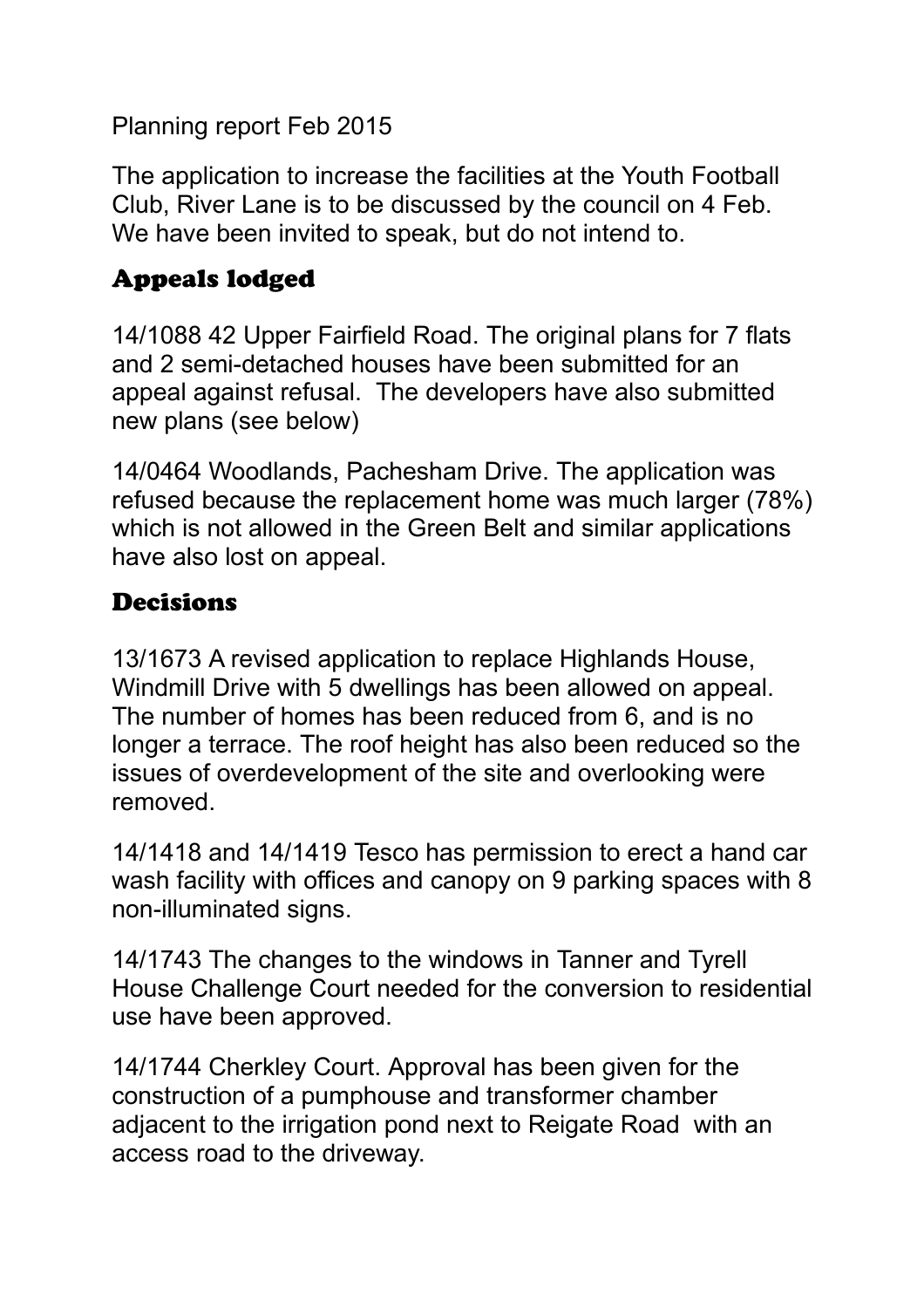Planning report Feb 2015

The application to increase the facilities at the Youth Football Club, River Lane is to be discussed by the council on 4 Feb. We have been invited to speak, but do not intend to.

## Appeals lodged

14/1088 42 Upper Fairfield Road. The original plans for 7 flats and 2 semi-detached houses have been submitted for an appeal against refusal. The developers have also submitted new plans (see below)

14/0464 Woodlands, Pachesham Drive. The application was refused because the replacement home was much larger (78%) which is not allowed in the Green Belt and similar applications have also lost on appeal.

## **Decisions**

13/1673 A revised application to replace Highlands House, Windmill Drive with 5 dwellings has been allowed on appeal. The number of homes has been reduced from 6, and is no longer a terrace. The roof height has also been reduced so the issues of overdevelopment of the site and overlooking were removed.

14/1418 and 14/1419 Tesco has permission to erect a hand car wash facility with offices and canopy on 9 parking spaces with 8 non-illuminated signs.

14/1743 The changes to the windows in Tanner and Tyrell House Challenge Court needed for the conversion to residential use have been approved.

14/1744 Cherkley Court. Approval has been given for the construction of a pumphouse and transformer chamber adjacent to the irrigation pond next to Reigate Road with an access road to the driveway.